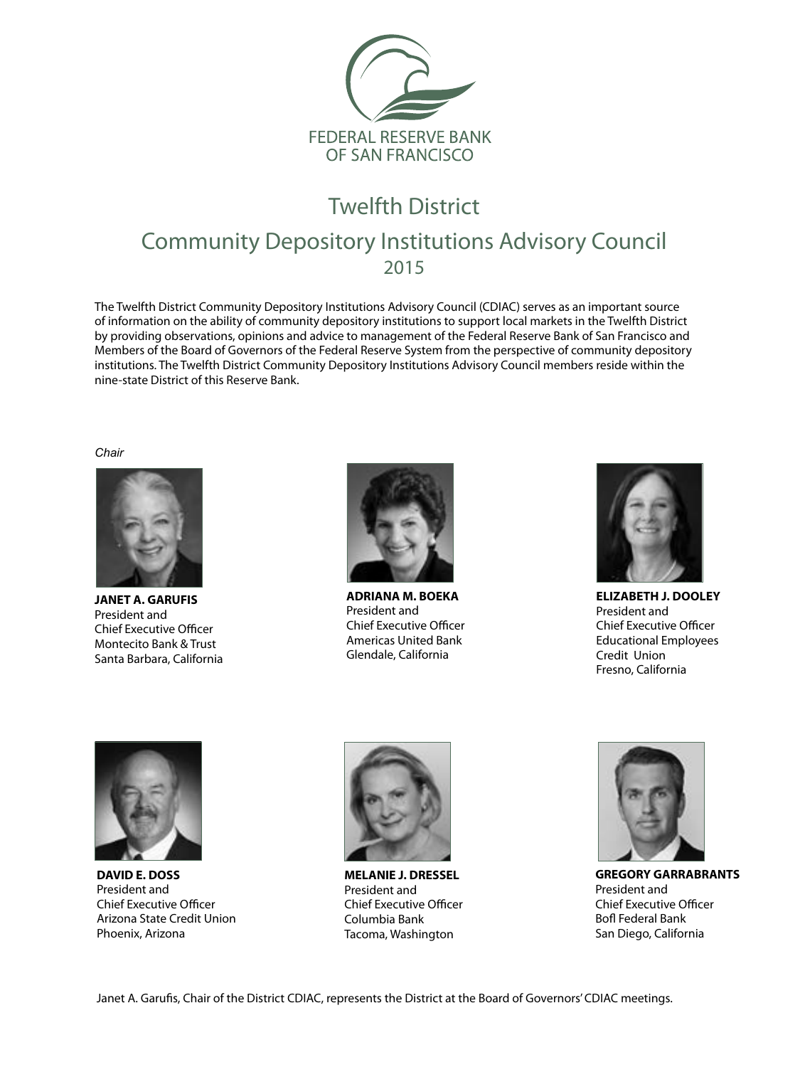

## Twelfth District Community Depository Institutions Advisory Council 2015

The Twelfth District Community Depository Institutions Advisory Council (CDIAC) serves as an important source of information on the ability of community depository institutions to support local markets in the Twelfth District by providing observations, opinions and advice to management of the Federal Reserve Bank of San Francisco and Members of the Board of Governors of the Federal Reserve System from the perspective of community depository institutions. The Twelfth District Community Depository Institutions Advisory Council members reside within the nine-state District of this Reserve Bank.

*Chair*



**JANET A. GARUFIS** President and Chief Executive Officer Montecito Bank & Trust Santa Barbara, California



**ADRIANA M. BOEKA** President and Chief Executive Officer Americas United Bank Glendale, California



**ELIZABETH J. DOOLEY** President and Chief Executive Officer Educational Employees Credit Union Fresno, California



**DAVID E. DOSS** President and Chief Executive Officer Arizona State Credit Union Phoenix, Arizona



**MELANIE J. DRESSEL** President and Chief Executive Officer Columbia Bank Tacoma, Washington



**GREGORY GARRABRANTS** President and Chief Executive Officer Bofl Federal Bank San Diego, California